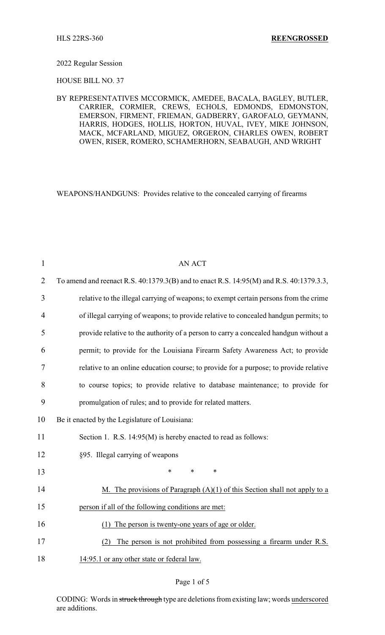#### 2022 Regular Session

HOUSE BILL NO. 37

### BY REPRESENTATIVES MCCORMICK, AMEDEE, BACALA, BAGLEY, BUTLER, CARRIER, CORMIER, CREWS, ECHOLS, EDMONDS, EDMONSTON, EMERSON, FIRMENT, FRIEMAN, GADBERRY, GAROFALO, GEYMANN, HARRIS, HODGES, HOLLIS, HORTON, HUVAL, IVEY, MIKE JOHNSON, MACK, MCFARLAND, MIGUEZ, ORGERON, CHARLES OWEN, ROBERT OWEN, RISER, ROMERO, SCHAMERHORN, SEABAUGH, AND WRIGHT

WEAPONS/HANDGUNS: Provides relative to the concealed carrying of firearms

| $\mathbf{1}$   | <b>AN ACT</b>                                                                           |
|----------------|-----------------------------------------------------------------------------------------|
| $\overline{2}$ | To amend and reenact R.S. 40:1379.3(B) and to enact R.S. 14:95(M) and R.S. 40:1379.3.3, |
| 3              | relative to the illegal carrying of weapons; to exempt certain persons from the crime   |
| 4              | of illegal carrying of weapons; to provide relative to concealed handgun permits; to    |
| 5              | provide relative to the authority of a person to carry a concealed handgun without a    |
| 6              | permit; to provide for the Louisiana Firearm Safety Awareness Act; to provide           |
| 7              | relative to an online education course; to provide for a purpose; to provide relative   |
| 8              | to course topics; to provide relative to database maintenance; to provide for           |
| 9              | promulgation of rules; and to provide for related matters.                              |
| 10             | Be it enacted by the Legislature of Louisiana:                                          |
| 11             | Section 1. R.S. 14:95(M) is hereby enacted to read as follows:                          |
| 12             | §95. Illegal carrying of weapons                                                        |
| 13             | $\ast$<br>$\ast$<br>$\ast$                                                              |
| 14             | M. The provisions of Paragraph $(A)(1)$ of this Section shall not apply to a            |
| 15             | person if all of the following conditions are met:                                      |
| 16             | The person is twenty-one years of age or older.<br>(1)                                  |
| 17             | The person is not prohibited from possessing a firearm under R.S.<br>(2)                |
| 18             | 14:95.1 or any other state or federal law.                                              |

### Page 1 of 5

CODING: Words in struck through type are deletions from existing law; words underscored are additions.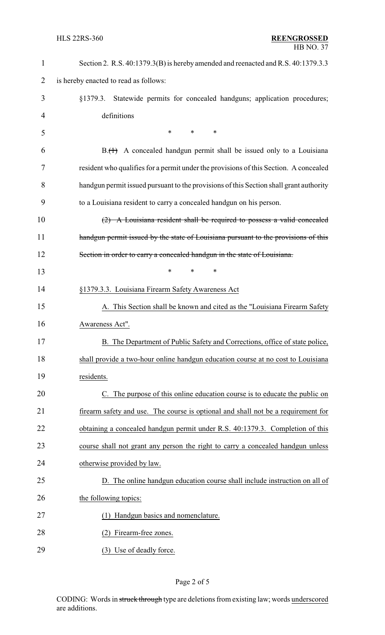| $\mathbf{1}$   | Section 2. R.S. 40:1379.3(B) is hereby amended and reenacted and R.S. 40:1379.3.3      |  |
|----------------|----------------------------------------------------------------------------------------|--|
| $\overline{2}$ | is hereby enacted to read as follows:                                                  |  |
| 3              | Statewide permits for concealed handguns; application procedures;<br>§1379.3.          |  |
| 4              | definitions                                                                            |  |
| 5              | $\ast$<br>$\ast$<br>$\ast$                                                             |  |
| 6              | $B1(H)$ A concealed handgun permit shall be issued only to a Louisiana                 |  |
| 7              | resident who qualifies for a permit under the provisions of this Section. A concealed  |  |
| 8              | handgun permit issued pursuant to the provisions of this Section shall grant authority |  |
| 9              | to a Louisiana resident to carry a concealed handgun on his person.                    |  |
| 10             | $(2)$ A Louisiana resident shall be required to possess a valid concealed              |  |
| 11             | handgun permit issued by the state of Louisiana pursuant to the provisions of this     |  |
| 12             | Section in order to carry a concealed handgun in the state of Louisiana.               |  |
| 13             | $\ast$<br>∗                                                                            |  |
| 14             | §1379.3.3. Louisiana Firearm Safety Awareness Act                                      |  |
| 15             | A. This Section shall be known and cited as the "Louisiana Firearm Safety"             |  |
| 16             | Awareness Act".                                                                        |  |
| 17             | B. The Department of Public Safety and Corrections, office of state police,            |  |
| 18             | shall provide a two-hour online handgun education course at no cost to Louisiana       |  |
| 19             | residents.                                                                             |  |
| 20             | C. The purpose of this online education course is to educate the public on             |  |
| 21             | firearm safety and use. The course is optional and shall not be a requirement for      |  |
| 22             | obtaining a concealed handgun permit under R.S. 40:1379.3. Completion of this          |  |
| 23             | course shall not grant any person the right to carry a concealed handgun unless        |  |
| 24             | otherwise provided by law.                                                             |  |
| 25             | D. The online handgun education course shall include instruction on all of             |  |
| 26             | the following topics:                                                                  |  |
| 27             | Handgun basics and nomenclature.<br>(1)                                                |  |
| 28             | Firearm-free zones.<br>(2)                                                             |  |
| 29             | (3) Use of deadly force.                                                               |  |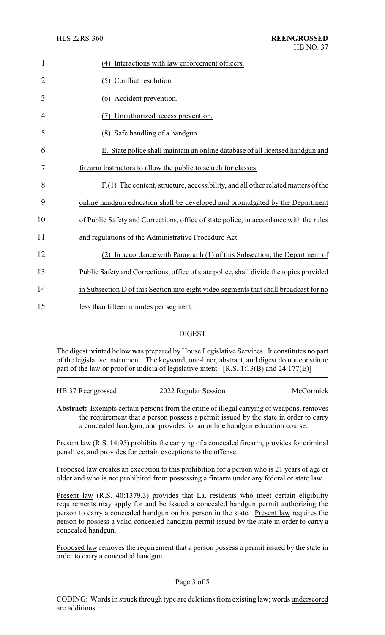| $\mathbf{1}$   | (4) Interactions with law enforcement officers.                                         |
|----------------|-----------------------------------------------------------------------------------------|
| $\overline{2}$ | (5) Conflict resolution.                                                                |
| 3              | (6) Accident prevention.                                                                |
| 4              | Unauthorized access prevention.                                                         |
| 5              | (8) Safe handling of a handgun.                                                         |
| 6              | E. State police shall maintain an online database of all licensed handgun and           |
| 7              | firearm instructors to allow the public to search for classes.                          |
| 8              | $F(1)$ The content, structure, accessibility, and all other related matters of the      |
| 9              | online handgun education shall be developed and promulgated by the Department           |
| 10             | of Public Safety and Corrections, office of state police, in accordance with the rules  |
| 11             | and regulations of the Administrative Procedure Act.                                    |
| 12             | In accordance with Paragraph (1) of this Subsection, the Department of                  |
| 13             | Public Safety and Corrections, office of state police, shall divide the topics provided |
| 14             | in Subsection D of this Section into eight video segments that shall broadcast for no   |
| 15             | less than fifteen minutes per segment.                                                  |
|                |                                                                                         |

# DIGEST

The digest printed below was prepared by House Legislative Services. It constitutes no part of the legislative instrument. The keyword, one-liner, abstract, and digest do not constitute part of the law or proof or indicia of legislative intent. [R.S. 1:13(B) and 24:177(E)]

| HB 37 Reengrossed | 2022 Regular Session | McCormick |
|-------------------|----------------------|-----------|
|                   |                      |           |

**Abstract:** Exempts certain persons from the crime of illegal carrying of weapons, removes the requirement that a person possess a permit issued by the state in order to carry a concealed handgun, and provides for an online handgun education course.

Present law (R.S. 14:95) prohibits the carrying of a concealed firearm, provides for criminal penalties, and provides for certain exceptions to the offense.

Proposed law creates an exception to this prohibition for a person who is 21 years of age or older and who is not prohibited from possessing a firearm under any federal or state law.

Present law (R.S. 40:1379.3) provides that La. residents who meet certain eligibility requirements may apply for and be issued a concealed handgun permit authorizing the person to carry a concealed handgun on his person in the state. Present law requires the person to possess a valid concealed handgun permit issued by the state in order to carry a concealed handgun.

Proposed law removes the requirement that a person possess a permit issued by the state in order to carry a concealed handgun.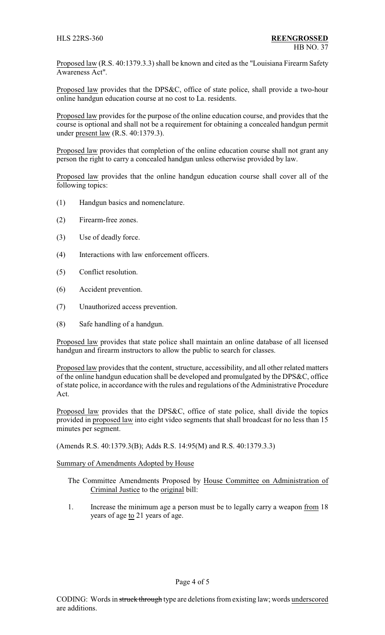Proposed law (R.S. 40:1379.3.3) shall be known and cited as the "Louisiana Firearm Safety Awareness Act".

Proposed law provides that the DPS&C, office of state police, shall provide a two-hour online handgun education course at no cost to La. residents.

Proposed law provides for the purpose of the online education course, and provides that the course is optional and shall not be a requirement for obtaining a concealed handgun permit under present law (R.S. 40:1379.3).

Proposed law provides that completion of the online education course shall not grant any person the right to carry a concealed handgun unless otherwise provided by law.

Proposed law provides that the online handgun education course shall cover all of the following topics:

- (1) Handgun basics and nomenclature.
- (2) Firearm-free zones.
- (3) Use of deadly force.
- (4) Interactions with law enforcement officers.
- (5) Conflict resolution.
- (6) Accident prevention.
- (7) Unauthorized access prevention.
- (8) Safe handling of a handgun.

Proposed law provides that state police shall maintain an online database of all licensed handgun and firearm instructors to allow the public to search for classes.

Proposed law provides that the content, structure, accessibility, and all other related matters of the online handgun education shall be developed and promulgated by the DPS&C, office of state police, in accordance with the rules and regulations of the Administrative Procedure Act.

Proposed law provides that the DPS&C, office of state police, shall divide the topics provided in proposed law into eight video segments that shall broadcast for no less than 15 minutes per segment.

(Amends R.S. 40:1379.3(B); Adds R.S. 14:95(M) and R.S. 40:1379.3.3)

Summary of Amendments Adopted by House

- The Committee Amendments Proposed by House Committee on Administration of Criminal Justice to the original bill:
- 1. Increase the minimum age a person must be to legally carry a weapon from 18 years of age to 21 years of age.